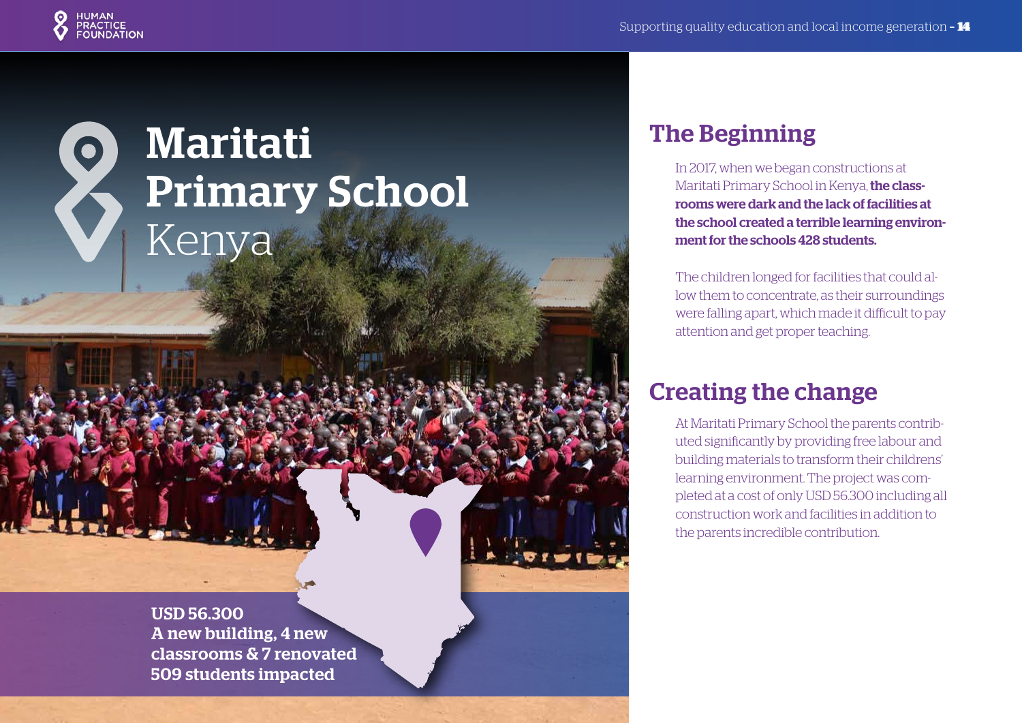

# Maritati  $\bullet$ Primary School Kenya

USD 56.300 A new building, 4 new classrooms & 7 renovated 509 students impacted

#### The Beginning

In 2017, when we began constructions at Maritati Primary School in Kenya, the classrooms were dark and the lack of facilities at the school created a terrible learning environment for the schools 428 students.

The children longed for facilities that could allow them to concentrate, as their surroundings were falling apart, which made it difficult to pay attention and get proper teaching.

#### Creating the change

At Maritati Primary School the parents contributed significantly by providing free labour and building materials to transform their childrens' learning environment. The project was completed at a cost of only USD 56.300 including all construction work and facilities in addition to the parents incredible contribution.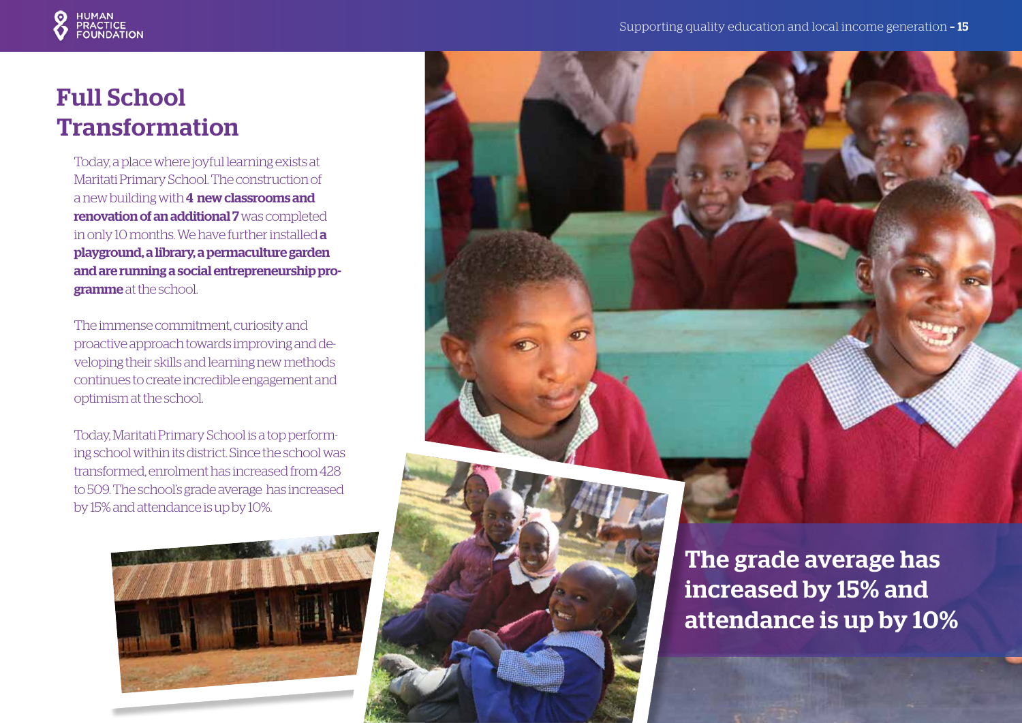

# Full School Transformation

Today, a place where joyful learning exists at Maritati Primary School. The construction of a new building with 4 new classrooms and renovation of an additional 7 was completed in only 10 months. We have further installed a playground, a library, a permaculture garden and are running a social entrepreneurship programme at the school.

The immense commitment, curiosity and proactive approach towards improving and developing their skills and learning new methods continues to create incredible engagement and optimism at the school.

Today, Maritati Primary School is a top performing school within its district. Since the school was transformed, enrolment has increased from 428 to 509. The school's grade average has increased by 15% and attendance is up by 10%.



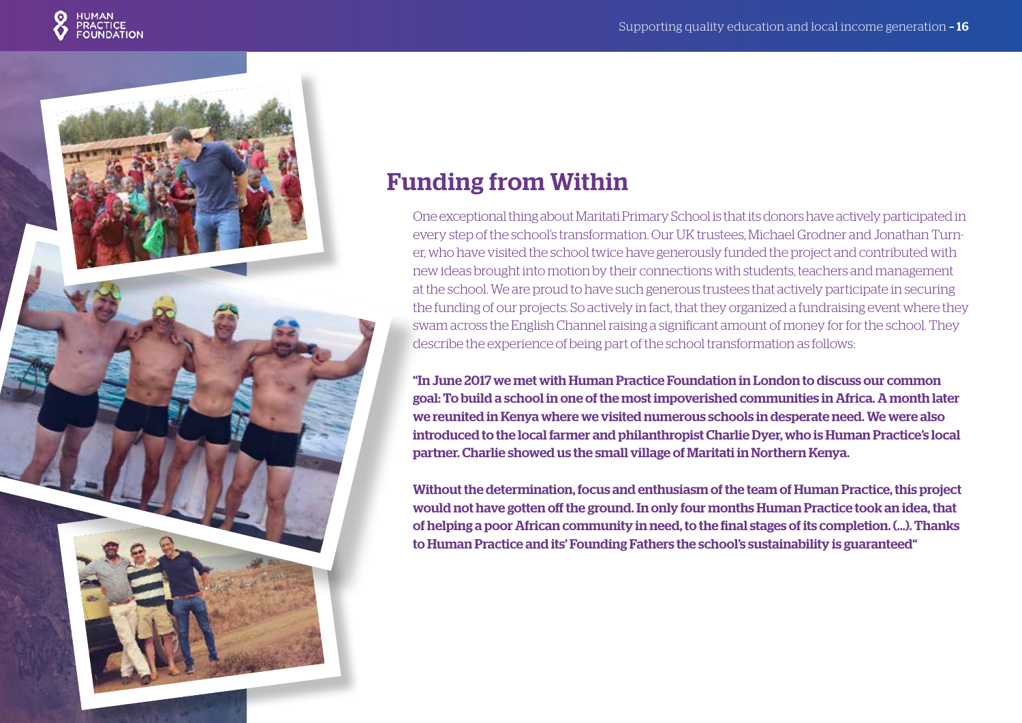



### Funding from Within

One exceptional thing about Maritati Primary School is that its donors have actively participated in every step of the school's transformation. Our UK trustees, Michael Grodner and Jonathan Turner, who have visited the school twice have generously funded the project and contributed with new ideas brought into motion by their connections with students, teachers and management at the school. We are proud to have such generous trustees that actively participate in securing the funding of our projects. So actively in fact, that they organized a fundraising event where they swam across the English Channel raising a significant amount of money for for the school. They describe the experience of being part of the school transformation as follows:

"In June 2017 we met with Human Practice Foundation in London to discuss our common goal: To build a school in one of the most impoverished communities in Africa. A month later we reunited in Kenya where we visited numerous schools in desperate need. We were also introduced to the local farmer and philanthropist Charlie Dyer, who is Human Practice's local partner. Charlie showed us the small village of Maritati in Northern Kenya.

Without the determination, focus and enthusiasm of the team of Human Practice, this project would not have gotten off the ground. In only four months Human Practice took an idea, that of helping a poor African community in need, to the final stages of its completion. (...). Thanks to Human Practice and its' Founding Fathers the school's sustainability is guaranteed"